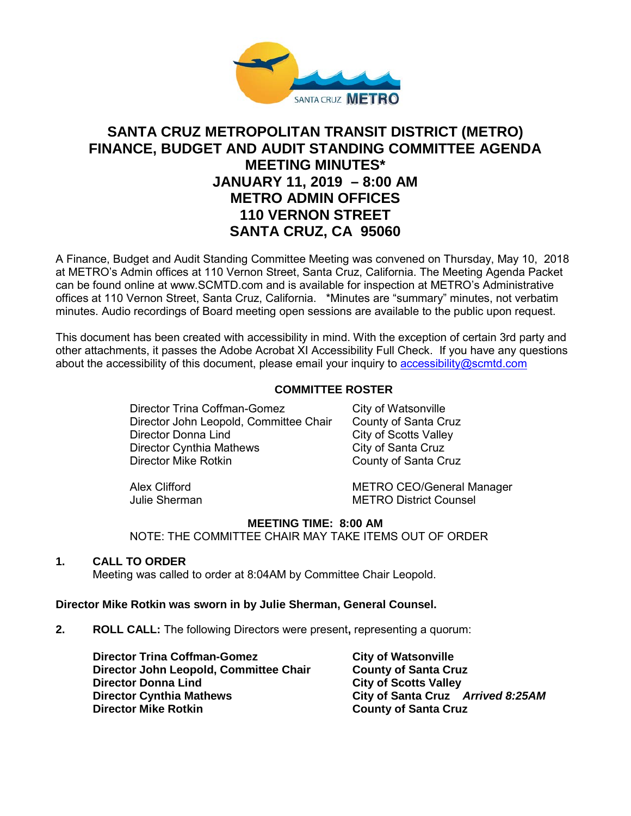

# **SANTA CRUZ METROPOLITAN TRANSIT DISTRICT (METRO) FINANCE, BUDGET AND AUDIT STANDING COMMITTEE AGENDA MEETING MINUTES\* JANUARY 11, 2019 – 8:00 AM METRO ADMIN OFFICES 110 VERNON STREET SANTA CRUZ, CA 95060**

A Finance, Budget and Audit Standing Committee Meeting was convened on Thursday, May 10, 2018 at METRO's Admin offices at 110 Vernon Street, Santa Cruz, California. The Meeting Agenda Packet can be found online at www.SCMTD.com and is available for inspection at METRO's Administrative offices at 110 Vernon Street, Santa Cruz, California. \*Minutes are "summary" minutes, not verbatim minutes. Audio recordings of Board meeting open sessions are available to the public upon request.

This document has been created with accessibility in mind. With the exception of certain 3rd party and other attachments, it passes the Adobe Acrobat XI Accessibility Full Check. If you have any questions about the accessibility of this document, please email your inquiry to [accessibility@scmtd.com](mailto:accessibility@scmtd.com)

## **COMMITTEE ROSTER**

Director Trina Coffman-Gomez City of Watsonville Director John Leopold, Committee Chair County of Santa Cruz Director Donna Lind<br>
Director Cynthia Mathews<br>
City of Santa Cruz Director Cynthia Mathews<br>Director Mike Rotkin

County of Santa Cruz

Alex Clifford<br>
Julie Sherman<br>
METRO District Counsel **METRO District Counsel** 

## **MEETING TIME: 8:00 AM**

NOTE: THE COMMITTEE CHAIR MAY TAKE ITEMS OUT OF ORDER

### **1. CALL TO ORDER**

Meeting was called to order at 8:04AM by Committee Chair Leopold.

### **Director Mike Rotkin was sworn in by Julie Sherman, General Counsel.**

**2. ROLL CALL:** The following Directors were present**,** representing a quorum:

**Director Trina Coffman-Gomez <b>City of Watsonville Director John Leopold, Committee Chair County of Santa Cruz Director Donna Lind City of Scotts Valley Director Cynthia Mathews City of Santa Cruz** *Arrived 8:25AM*

**County of Santa Cruz**